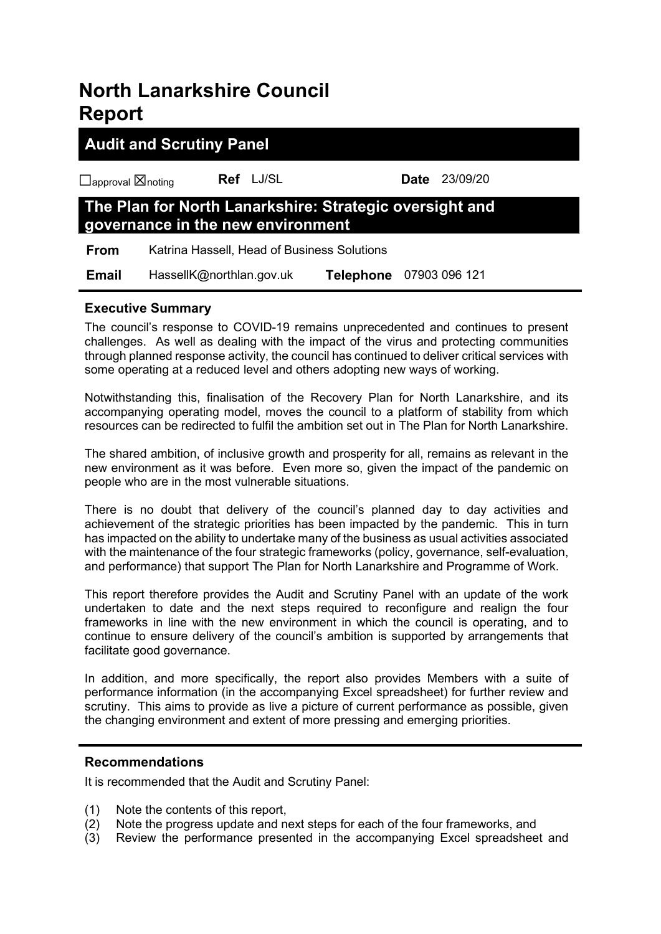# **North Lanarkshire Council Report**

# **Audit and Scrutiny Panel**

☐approval ☒noting **Ref** LJ/SL **Date** 23/09/20

# **The Plan for North Lanarkshire: Strategic oversight and governance in the new environment**

 **From** Katrina Hassell, Head of Business Solutions

 **Email** HassellK@northlan.gov.uk **Telephone** 07903 096 121

# **Executive Summary**

The council's response to COVID-19 remains unprecedented and continues to present challenges. As well as dealing with the impact of the virus and protecting communities through planned response activity, the council has continued to deliver critical services with some operating at a reduced level and others adopting new ways of working.

Notwithstanding this, finalisation of the Recovery Plan for North Lanarkshire, and its accompanying operating model, moves the council to a platform of stability from which resources can be redirected to fulfil the ambition set out in The Plan for North Lanarkshire.

The shared ambition, of inclusive growth and prosperity for all, remains as relevant in the new environment as it was before. Even more so, given the impact of the pandemic on people who are in the most vulnerable situations.

There is no doubt that delivery of the council's planned day to day activities and achievement of the strategic priorities has been impacted by the pandemic. This in turn has impacted on the ability to undertake many of the business as usual activities associated with the maintenance of the four strategic frameworks (policy, governance, self-evaluation, and performance) that support The Plan for North Lanarkshire and Programme of Work.

This report therefore provides the Audit and Scrutiny Panel with an update of the work undertaken to date and the next steps required to reconfigure and realign the four frameworks in line with the new environment in which the council is operating, and to continue to ensure delivery of the council's ambition is supported by arrangements that facilitate good governance.

In addition, and more specifically, the report also provides Members with a suite of performance information (in the accompanying Excel spreadsheet) for further review and scrutiny. This aims to provide as live a picture of current performance as possible, given the changing environment and extent of more pressing and emerging priorities.

# **Recommendations**

It is recommended that the Audit and Scrutiny Panel:

- (1) Note the contents of this report,
- (2) Note the progress update and next steps for each of the four frameworks, and
- (3) Review the performance presented in the accompanying Excel spreadsheet and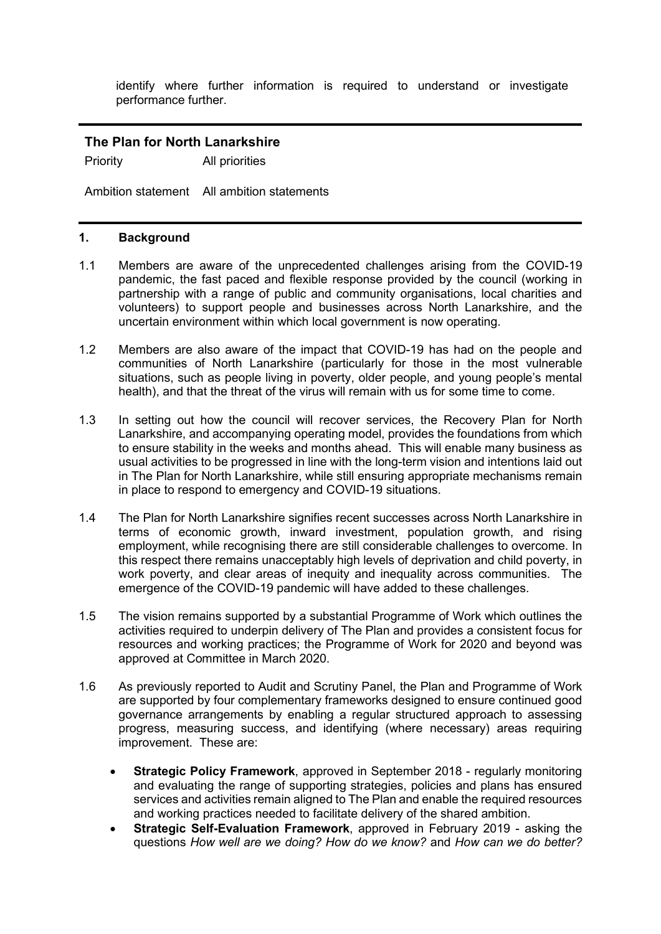identify where further information is required to understand or investigate performance further.

# **The Plan for North Lanarkshire**

Priority All priorities

Ambition statement All ambition statements

# **1. Background**

- 1.1 Members are aware of the unprecedented challenges arising from the COVID-19 pandemic, the fast paced and flexible response provided by the council (working in partnership with a range of public and community organisations, local charities and volunteers) to support people and businesses across North Lanarkshire, and the uncertain environment within which local government is now operating.
- 1.2 Members are also aware of the impact that COVID-19 has had on the people and communities of North Lanarkshire (particularly for those in the most vulnerable situations, such as people living in poverty, older people, and young people's mental health), and that the threat of the virus will remain with us for some time to come.
- 1.3 In setting out how the council will recover services, the Recovery Plan for North Lanarkshire, and accompanying operating model, provides the foundations from which to ensure stability in the weeks and months ahead. This will enable many business as usual activities to be progressed in line with the long-term vision and intentions laid out in The Plan for North Lanarkshire, while still ensuring appropriate mechanisms remain in place to respond to emergency and COVID-19 situations.
- 1.4 The Plan for North Lanarkshire signifies recent successes across North Lanarkshire in terms of economic growth, inward investment, population growth, and rising employment, while recognising there are still considerable challenges to overcome. In this respect there remains unacceptably high levels of deprivation and child poverty, in work poverty, and clear areas of inequity and inequality across communities. The emergence of the COVID-19 pandemic will have added to these challenges.
- 1.5 The vision remains supported by a substantial Programme of Work which outlines the activities required to underpin delivery of The Plan and provides a consistent focus for resources and working practices; the Programme of Work for 2020 and beyond was approved at Committee in March 2020.
- 1.6 As previously reported to Audit and Scrutiny Panel, the Plan and Programme of Work are supported by four complementary frameworks designed to ensure continued good governance arrangements by enabling a regular structured approach to assessing progress, measuring success, and identifying (where necessary) areas requiring improvement. These are:
	- **Strategic Policy Framework**, approved in September 2018 regularly monitoring and evaluating the range of supporting strategies, policies and plans has ensured services and activities remain aligned to The Plan and enable the required resources and working practices needed to facilitate delivery of the shared ambition.
	- **Strategic Self-Evaluation Framework**, approved in February 2019 asking the questions *How well are we doing? How do we know?* and *How can we do better?*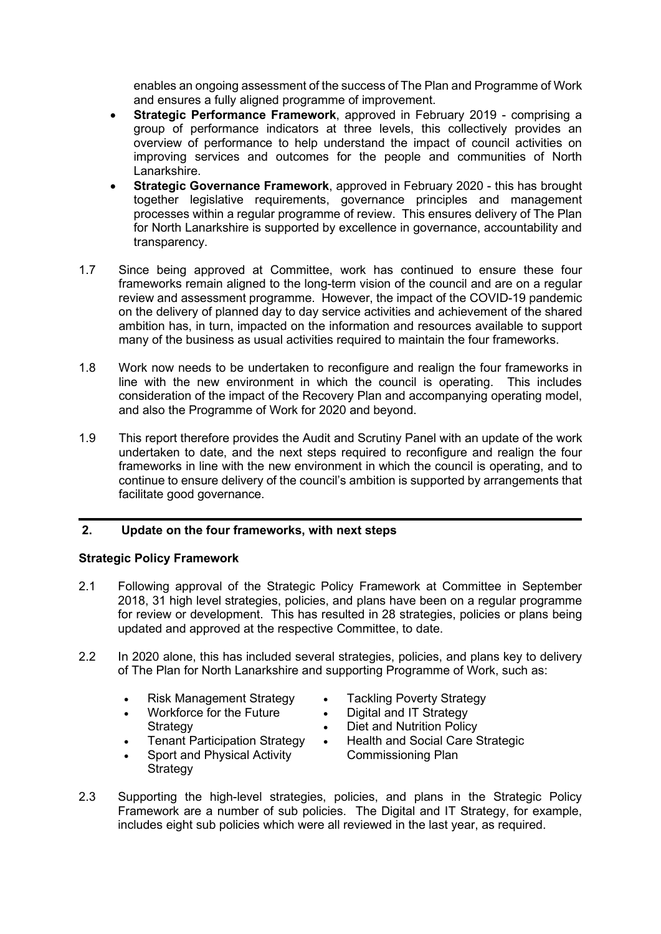enables an ongoing assessment of the success of The Plan and Programme of Work and ensures a fully aligned programme of improvement.

- **Strategic Performance Framework**, approved in February 2019 comprising a group of performance indicators at three levels, this collectively provides an overview of performance to help understand the impact of council activities on improving services and outcomes for the people and communities of North Lanarkshire.
- **Strategic Governance Framework**, approved in February 2020 this has brought together legislative requirements, governance principles and management processes within a regular programme of review. This ensures delivery of The Plan for North Lanarkshire is supported by excellence in governance, accountability and transparency.
- 1.7 Since being approved at Committee, work has continued to ensure these four frameworks remain aligned to the long-term vision of the council and are on a regular review and assessment programme. However, the impact of the COVID-19 pandemic on the delivery of planned day to day service activities and achievement of the shared ambition has, in turn, impacted on the information and resources available to support many of the business as usual activities required to maintain the four frameworks.
- 1.8 Work now needs to be undertaken to reconfigure and realign the four frameworks in line with the new environment in which the council is operating. This includes consideration of the impact of the Recovery Plan and accompanying operating model, and also the Programme of Work for 2020 and beyond.
- 1.9 This report therefore provides the Audit and Scrutiny Panel with an update of the work undertaken to date, and the next steps required to reconfigure and realign the four frameworks in line with the new environment in which the council is operating, and to continue to ensure delivery of the council's ambition is supported by arrangements that facilitate good governance.

# **2. Update on the four frameworks, with next steps**

# **Strategic Policy Framework**

- 2.1 Following approval of the Strategic Policy Framework at Committee in September 2018, 31 high level strategies, policies, and plans have been on a regular programme for review or development. This has resulted in 28 strategies, policies or plans being updated and approved at the respective Committee, to date.
- 2.2 In 2020 alone, this has included several strategies, policies, and plans key to delivery of The Plan for North Lanarkshire and supporting Programme of Work, such as:
	- Risk Management Strategy
	- Workforce for the Future
	- **Strategy**
	- **Tenant Participation Strategy** •
	- Sport and Physical Activity Strategy
- Tackling Poverty Strategy
- Digital and IT Strategy
- Diet and Nutrition Policy
- Health and Social Care Strategic Commissioning Plan
- 2.3 Supporting the high-level strategies, policies, and plans in the Strategic Policy Framework are a number of sub policies. The Digital and IT Strategy, for example, includes eight sub policies which were all reviewed in the last year, as required.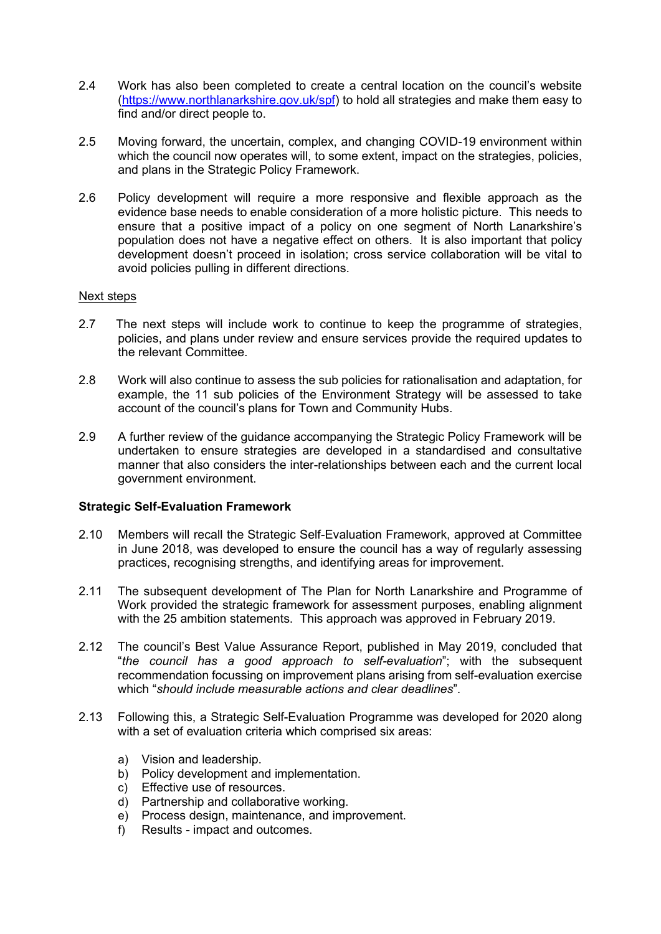- 2.4 Work has also been completed to create a central location on the council's website [\(https://www.northlanarkshire.gov.uk/spf\)](https://www.northlanarkshire.gov.uk/spf) to hold all strategies and make them easy to find and/or direct people to.
- 2.5 Moving forward, the uncertain, complex, and changing COVID-19 environment within which the council now operates will, to some extent, impact on the strategies, policies, and plans in the Strategic Policy Framework.
- 2.6 Policy development will require a more responsive and flexible approach as the evidence base needs to enable consideration of a more holistic picture. This needs to ensure that a positive impact of a policy on one segment of North Lanarkshire's population does not have a negative effect on others. It is also important that policy development doesn't proceed in isolation; cross service collaboration will be vital to avoid policies pulling in different directions.

### Next steps

- 2.7 The next steps will include work to continue to keep the programme of strategies, policies, and plans under review and ensure services provide the required updates to the relevant Committee.
- 2.8 Work will also continue to assess the sub policies for rationalisation and adaptation, for example, the 11 sub policies of the Environment Strategy will be assessed to take account of the council's plans for Town and Community Hubs.
- 2.9 A further review of the guidance accompanying the Strategic Policy Framework will be undertaken to ensure strategies are developed in a standardised and consultative manner that also considers the inter-relationships between each and the current local government environment.

#### **Strategic Self-Evaluation Framework**

- 2.10 Members will recall the Strategic Self-Evaluation Framework, approved at Committee in June 2018, was developed to ensure the council has a way of regularly assessing practices, recognising strengths, and identifying areas for improvement.
- 2.11 The subsequent development of The Plan for North Lanarkshire and Programme of Work provided the strategic framework for assessment purposes, enabling alignment with the 25 ambition statements. This approach was approved in February 2019.
- 2.12 The council's Best Value Assurance Report, published in May 2019, concluded that "*the council has a good approach to self-evaluation*"; with the subsequent recommendation focussing on improvement plans arising from self-evaluation exercise which "*should include measurable actions and clear deadlines*".
- 2.13 Following this, a Strategic Self-Evaluation Programme was developed for 2020 along with a set of evaluation criteria which comprised six areas:
	- a) Vision and leadership.
	- b) Policy development and implementation.
	- c) Effective use of resources.
	- d) Partnership and collaborative working.
	- e) Process design, maintenance, and improvement.
	- f) Results impact and outcomes.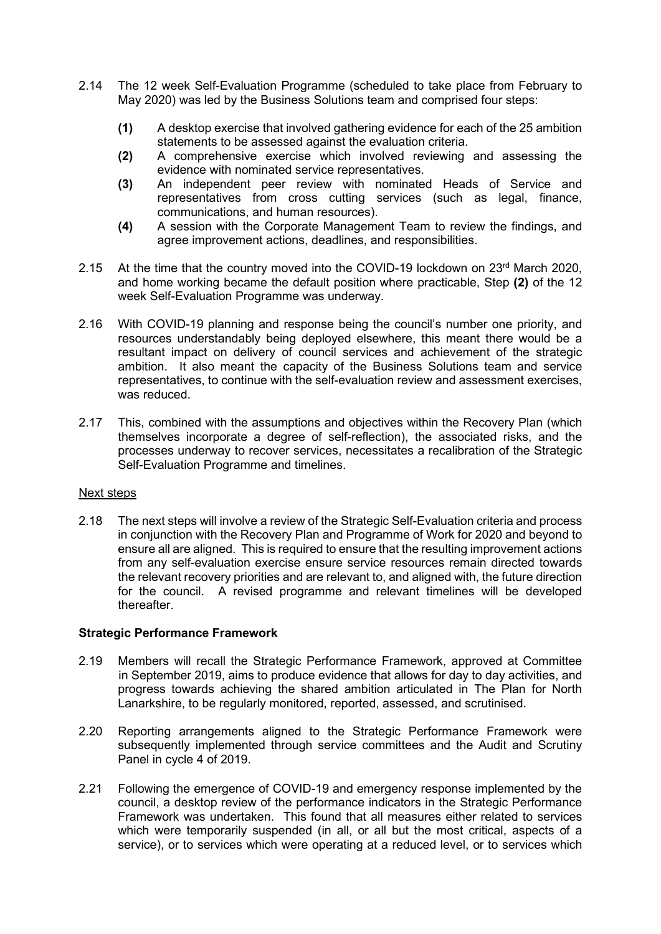- 2.14 The 12 week Self-Evaluation Programme (scheduled to take place from February to May 2020) was led by the Business Solutions team and comprised four steps:
	- **(1)** A desktop exercise that involved gathering evidence for each of the 25 ambition statements to be assessed against the evaluation criteria.
	- **(2)** A comprehensive exercise which involved reviewing and assessing the evidence with nominated service representatives.
	- **(3)** An independent peer review with nominated Heads of Service and representatives from cross cutting services (such as legal, finance, communications, and human resources).
	- **(4)** A session with the Corporate Management Team to review the findings, and agree improvement actions, deadlines, and responsibilities.
- 2.15 At the time that the country moved into the COVID-19 lockdown on 23<sup>rd</sup> March 2020, and home working became the default position where practicable, Step **(2)** of the 12 week Self-Evaluation Programme was underway.
- 2.16 With COVID-19 planning and response being the council's number one priority, and resources understandably being deployed elsewhere, this meant there would be a resultant impact on delivery of council services and achievement of the strategic ambition. It also meant the capacity of the Business Solutions team and service representatives, to continue with the self-evaluation review and assessment exercises, was reduced.
- 2.17 This, combined with the assumptions and objectives within the Recovery Plan (which themselves incorporate a degree of self-reflection), the associated risks, and the processes underway to recover services, necessitates a recalibration of the Strategic Self-Evaluation Programme and timelines.

# Next steps

2.18 The next steps will involve a review of the Strategic Self-Evaluation criteria and process in conjunction with the Recovery Plan and Programme of Work for 2020 and beyond to ensure all are aligned. This is required to ensure that the resulting improvement actions from any self-evaluation exercise ensure service resources remain directed towards the relevant recovery priorities and are relevant to, and aligned with, the future direction for the council. A revised programme and relevant timelines will be developed thereafter.

# **Strategic Performance Framework**

- 2.19 Members will recall the Strategic Performance Framework, approved at Committee in September 2019, aims to produce evidence that allows for day to day activities, and progress towards achieving the shared ambition articulated in The Plan for North Lanarkshire, to be regularly monitored, reported, assessed, and scrutinised.
- 2.20 Reporting arrangements aligned to the Strategic Performance Framework were subsequently implemented through service committees and the Audit and Scrutiny Panel in cycle 4 of 2019.
- 2.21 Following the emergence of COVID-19 and emergency response implemented by the council, a desktop review of the performance indicators in the Strategic Performance Framework was undertaken. This found that all measures either related to services which were temporarily suspended (in all, or all but the most critical, aspects of a service), or to services which were operating at a reduced level, or to services which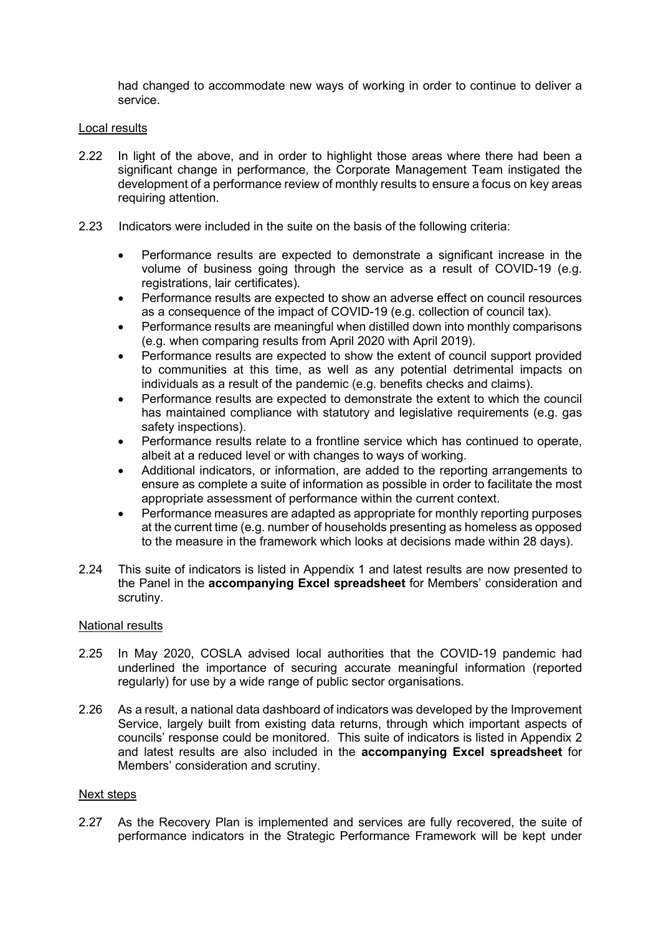had changed to accommodate new ways of working in order to continue to deliver a service.

### Local results

- 2.22 In light of the above, and in order to highlight those areas where there had been a significant change in performance, the Corporate Management Team instigated the development of a performance review of monthly results to ensure a focus on key areas requiring attention.
- 2.23 Indicators were included in the suite on the basis of the following criteria:
	- Performance results are expected to demonstrate a significant increase in the volume of business going through the service as a result of COVID-19 (e.g. registrations, lair certificates).
	- Performance results are expected to show an adverse effect on council resources as a consequence of the impact of COVID-19 (e.g. collection of council tax).
	- Performance results are meaningful when distilled down into monthly comparisons (e.g. when comparing results from April 2020 with April 2019).
	- Performance results are expected to show the extent of council support provided to communities at this time, as well as any potential detrimental impacts on individuals as a result of the pandemic (e.g. benefits checks and claims).
	- Performance results are expected to demonstrate the extent to which the council has maintained compliance with statutory and legislative requirements (e.g. gas safety inspections).
	- Performance results relate to a frontline service which has continued to operate, albeit at a reduced level or with changes to ways of working.
	- Additional indicators, or information, are added to the reporting arrangements to ensure as complete a suite of information as possible in order to facilitate the most appropriate assessment of performance within the current context.
	- Performance measures are adapted as appropriate for monthly reporting purposes at the current time (e.g. number of households presenting as homeless as opposed to the measure in the framework which looks at decisions made within 28 days).
- 2.24 This suite of indicators is listed in Appendix 1 and latest results are now presented to the Panel in the **accompanying Excel spreadsheet** for Members' consideration and scrutiny.

#### National results

- 2.25 In May 2020, COSLA advised local authorities that the COVID-19 pandemic had underlined the importance of securing accurate meaningful information (reported regularly) for use by a wide range of public sector organisations.
- 2.26 As a result, a national data dashboard of indicators was developed by the Improvement Service, largely built from existing data returns, through which important aspects of councils' response could be monitored. This suite of indicators is listed in Appendix 2 and latest results are also included in the **accompanying Excel spreadsheet** for Members' consideration and scrutiny.

# Next steps

2.27 As the Recovery Plan is implemented and services are fully recovered, the suite of performance indicators in the Strategic Performance Framework will be kept under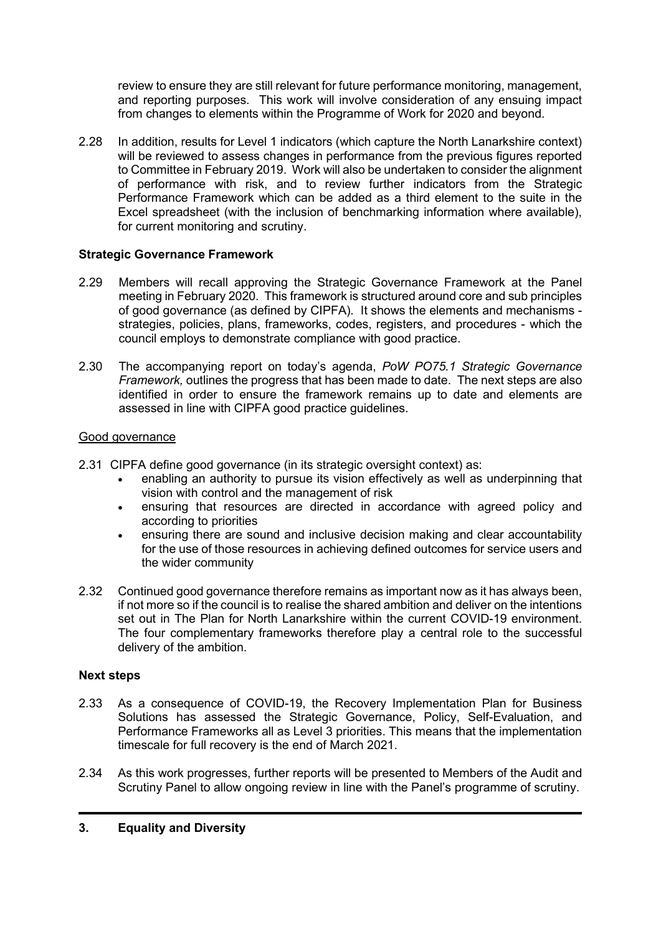review to ensure they are still relevant for future performance monitoring, management, and reporting purposes. This work will involve consideration of any ensuing impact from changes to elements within the Programme of Work for 2020 and beyond.

2.28 In addition, results for Level 1 indicators (which capture the North Lanarkshire context) will be reviewed to assess changes in performance from the previous figures reported to Committee in February 2019. Work will also be undertaken to consider the alignment of performance with risk, and to review further indicators from the Strategic Performance Framework which can be added as a third element to the suite in the Excel spreadsheet (with the inclusion of benchmarking information where available), for current monitoring and scrutiny.

# **Strategic Governance Framework**

- 2.29 Members will recall approving the Strategic Governance Framework at the Panel meeting in February 2020. This framework is structured around core and sub principles of good governance (as defined by CIPFA). It shows the elements and mechanisms strategies, policies, plans, frameworks, codes, registers, and procedures - which the council employs to demonstrate compliance with good practice.
- 2.30 The accompanying report on today's agenda, *PoW PO75.1 Strategic Governance Framework,* outlines the progress that has been made to date. The next steps are also identified in order to ensure the framework remains up to date and elements are assessed in line with CIPFA good practice guidelines.

# Good governance

- 2.31 CIPFA define good governance (in its strategic oversight context) as:
	- enabling an authority to pursue its vision effectively as well as underpinning that vision with control and the management of risk
	- ensuring that resources are directed in accordance with agreed policy and according to priorities
	- ensuring there are sound and inclusive decision making and clear accountability for the use of those resources in achieving defined outcomes for service users and the wider community
- 2.32 Continued good governance therefore remains as important now as it has always been, if not more so if the council is to realise the shared ambition and deliver on the intentions set out in The Plan for North Lanarkshire within the current COVID-19 environment. The four complementary frameworks therefore play a central role to the successful delivery of the ambition.

# **Next steps**

- 2.33 As a consequence of COVID-19, the Recovery Implementation Plan for Business Solutions has assessed the Strategic Governance, Policy, Self-Evaluation, and Performance Frameworks all as Level 3 priorities. This means that the implementation timescale for full recovery is the end of March 2021.
- 2.34 As this work progresses, further reports will be presented to Members of the Audit and Scrutiny Panel to allow ongoing review in line with the Panel's programme of scrutiny.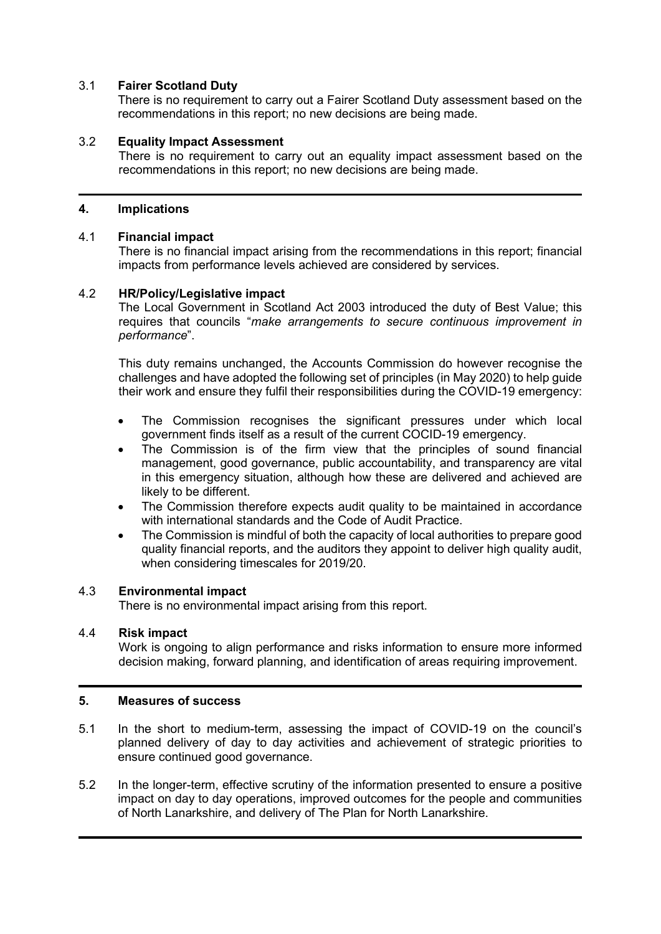# 3.1 **Fairer Scotland Duty**

There is no requirement to carry out a Fairer Scotland Duty assessment based on the recommendations in this report; no new decisions are being made.

# 3.2 **Equality Impact Assessment**

There is no requirement to carry out an equality impact assessment based on the recommendations in this report; no new decisions are being made.

### **4. Implications**

#### 4.1 **Financial impact**

There is no financial impact arising from the recommendations in this report; financial impacts from performance levels achieved are considered by services.

### 4.2 **HR/Policy/Legislative impact**

The Local Government in Scotland Act 2003 introduced the duty of Best Value; this requires that councils "*make arrangements to secure continuous improvement in performance*".

This duty remains unchanged, the Accounts Commission do however recognise the challenges and have adopted the following set of principles (in May 2020) to help guide their work and ensure they fulfil their responsibilities during the COVID-19 emergency:

- The Commission recognises the significant pressures under which local government finds itself as a result of the current COCID-19 emergency.
- The Commission is of the firm view that the principles of sound financial management, good governance, public accountability, and transparency are vital in this emergency situation, although how these are delivered and achieved are likely to be different.
- The Commission therefore expects audit quality to be maintained in accordance with international standards and the Code of Audit Practice.
- The Commission is mindful of both the capacity of local authorities to prepare good quality financial reports, and the auditors they appoint to deliver high quality audit, when considering timescales for 2019/20.

# 4.3 **Environmental impact**

There is no environmental impact arising from this report.

#### 4.4 **Risk impact**

Work is ongoing to align performance and risks information to ensure more informed decision making, forward planning, and identification of areas requiring improvement.

#### **5. Measures of success**

- 5.1 In the short to medium-term, assessing the impact of COVID-19 on the council's planned delivery of day to day activities and achievement of strategic priorities to ensure continued good governance.
- 5.2 In the longer-term, effective scrutiny of the information presented to ensure a positive impact on day to day operations, improved outcomes for the people and communities of North Lanarkshire, and delivery of The Plan for North Lanarkshire.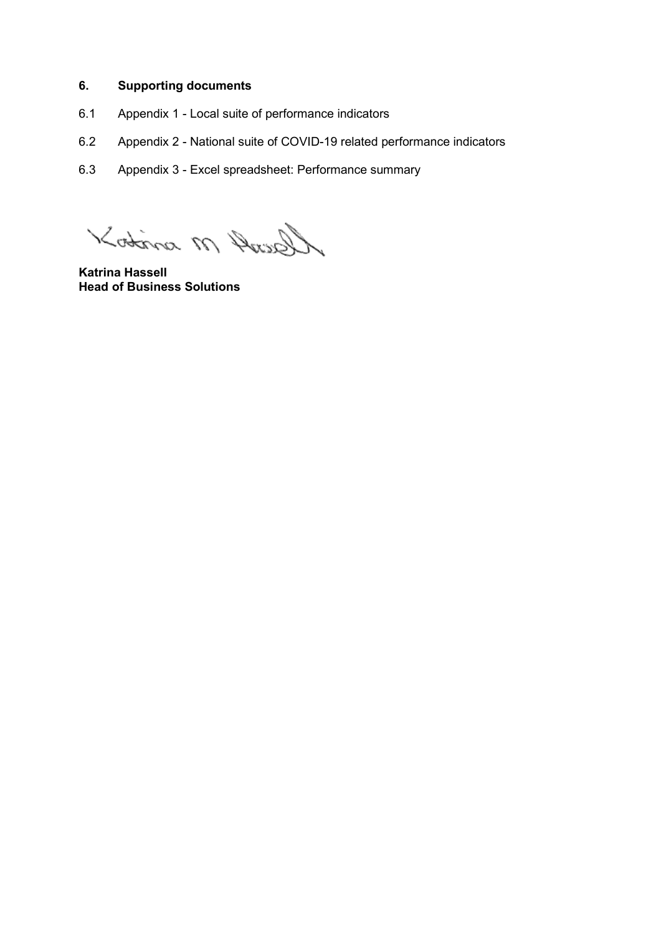# **6. Supporting documents**

- 6.1 Appendix 1 Local suite of performance indicators
- 6.2 Appendix 2 National suite of COVID-19 related performance indicators
- 6.3 Appendix 3 Excel spreadsheet: Performance summary

Gent M mitor

**Katrina Hassell Head of Business Solutions**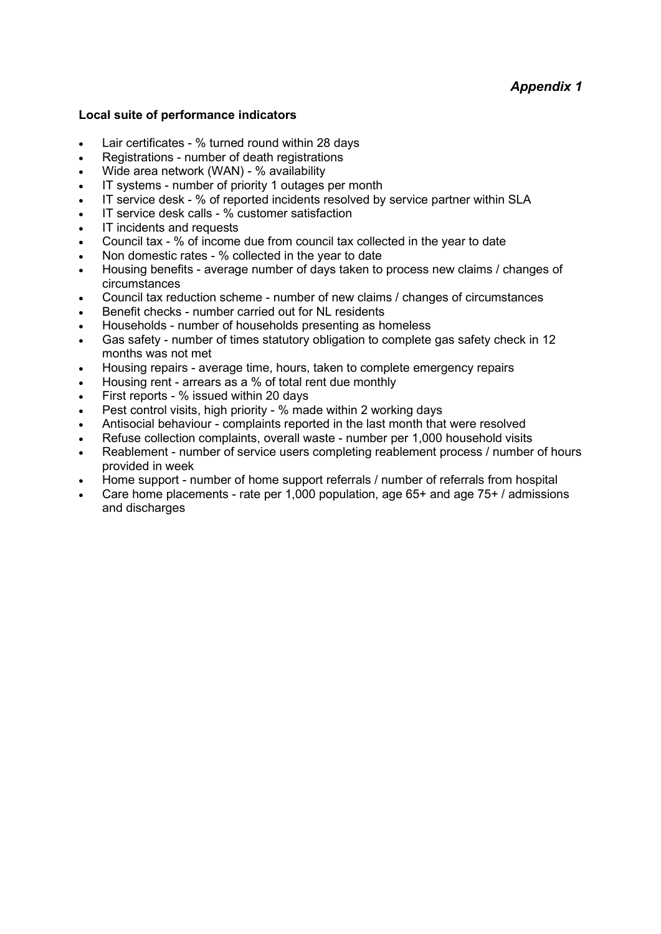### **Local suite of performance indicators**

- Lair certificates % turned round within 28 days
- Registrations number of death registrations
- Wide area network (WAN) % availability
- IT systems number of priority 1 outages per month
- IT service desk % of reported incidents resolved by service partner within SLA
- IT service desk calls % customer satisfaction
- IT incidents and requests
- Council tax % of income due from council tax collected in the year to date
- Non domestic rates % collected in the year to date
- Housing benefits average number of days taken to process new claims / changes of circumstances
- Council tax reduction scheme number of new claims / changes of circumstances
- Benefit checks number carried out for NL residents
- Households number of households presenting as homeless
- Gas safety number of times statutory obligation to complete gas safety check in 12 months was not met
- Housing repairs average time, hours, taken to complete emergency repairs
- Housing rent arrears as a % of total rent due monthly
- First reports % issued within 20 days
- Pest control visits, high priority % made within 2 working days
- Antisocial behaviour complaints reported in the last month that were resolved
- Refuse collection complaints, overall waste number per 1,000 household visits
- Reablement number of service users completing reablement process / number of hours provided in week
- Home support number of home support referrals / number of referrals from hospital
- Care home placements rate per 1,000 population, age 65+ and age 75+ / admissions and discharges